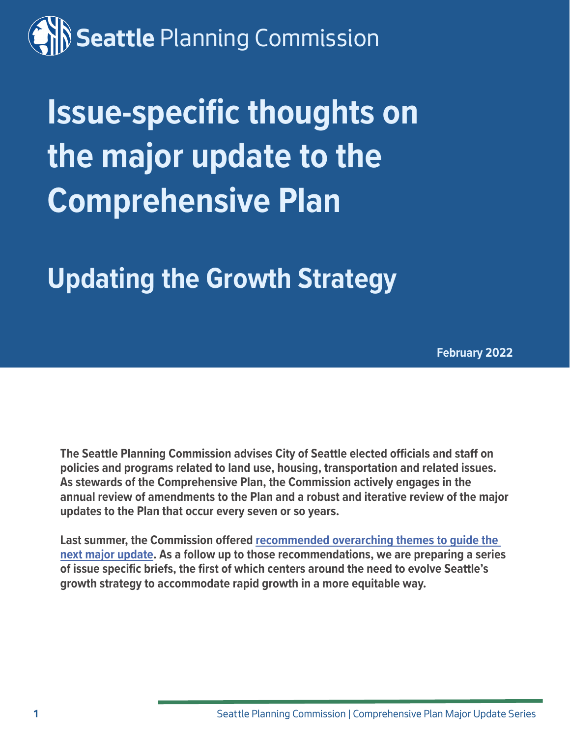# **Seattle** Planning Commission

# **Issue-specific thoughts on the major update to the Comprehensive Plan**

**Updating the Growth Strategy**

**February 2022**

**The Seattle Planning Commission advises City of Seattle elected officials and staff on policies and programs related to land use, housing, transportation and related issues. As stewards of the Comprehensive Plan, the Commission actively engages in the annual review of amendments to the Plan and a robust and iterative review of the major updates to the Plan that occur every seven or so years.** 

**Last summer, the Commission offered [recommended overarching themes to guide the](https://www.seattle.gov/Documents/Departments/SeattlePlanningCommission/ComprehensivePlan/SPC_recs_re_Overarching_themes_for_the_next_major_update_to_the_Comp_Plan.pdf)  [next major update.](https://www.seattle.gov/Documents/Departments/SeattlePlanningCommission/ComprehensivePlan/SPC_recs_re_Overarching_themes_for_the_next_major_update_to_the_Comp_Plan.pdf) As a follow up to those recommendations, we are preparing a series of issue specific briefs, the first of which centers around the need to evolve Seattle's growth strategy to accommodate rapid growth in a more equitable way.**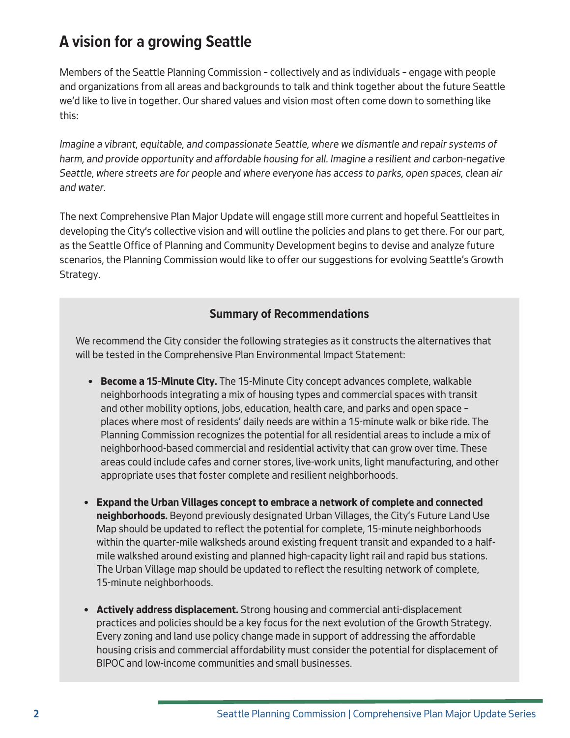## **A vision for a growing Seattle**

Members of the Seattle Planning Commission – collectively and as individuals – engage with people and organizations from all areas and backgrounds to talk and think together about the future Seattle we'd like to live in together. Our shared values and vision most often come down to something like this:

*Imagine a vibrant, equitable, and compassionate Seattle, where we dismantle and repair systems of harm, and provide opportunity and affordable housing for all. Imagine a resilient and carbon-negative Seattle, where streets are for people and where everyone has access to parks, open spaces, clean air and water.*

The next Comprehensive Plan Major Update will engage still more current and hopeful Seattleites in developing the City's collective vision and will outline the policies and plans to get there. For our part, as the Seattle Office of Planning and Community Development begins to devise and analyze future scenarios, the Planning Commission would like to offer our suggestions for evolving Seattle's Growth Strategy.

### **Summary of Recommendations**

We recommend the City consider the following strategies as it constructs the alternatives that will be tested in the Comprehensive Plan Environmental Impact Statement:

- **• Become a 15-Minute City.** The 15-Minute City concept advances complete, walkable neighborhoods integrating a mix of housing types and commercial spaces with transit and other mobility options, jobs, education, health care, and parks and open space – places where most of residents' daily needs are within a 15-minute walk or bike ride. The Planning Commission recognizes the potential for all residential areas to include a mix of neighborhood-based commercial and residential activity that can grow over time. These areas could include cafes and corner stores, live-work units, light manufacturing, and other appropriate uses that foster complete and resilient neighborhoods.
- **• Expand the Urban Villages concept to embrace a network of complete and connected neighborhoods.** Beyond previously designated Urban Villages, the City's Future Land Use Map should be updated to reflect the potential for complete, 15-minute neighborhoods within the quarter-mile walksheds around existing frequent transit and expanded to a halfmile walkshed around existing and planned high-capacity light rail and rapid bus stations. The Urban Village map should be updated to reflect the resulting network of complete, 15-minute neighborhoods.
- **• Actively address displacement.** Strong housing and commercial anti-displacement practices and policies should be a key focus for the next evolution of the Growth Strategy. Every zoning and land use policy change made in support of addressing the affordable housing crisis and commercial affordability must consider the potential for displacement of BIPOC and low-income communities and small businesses.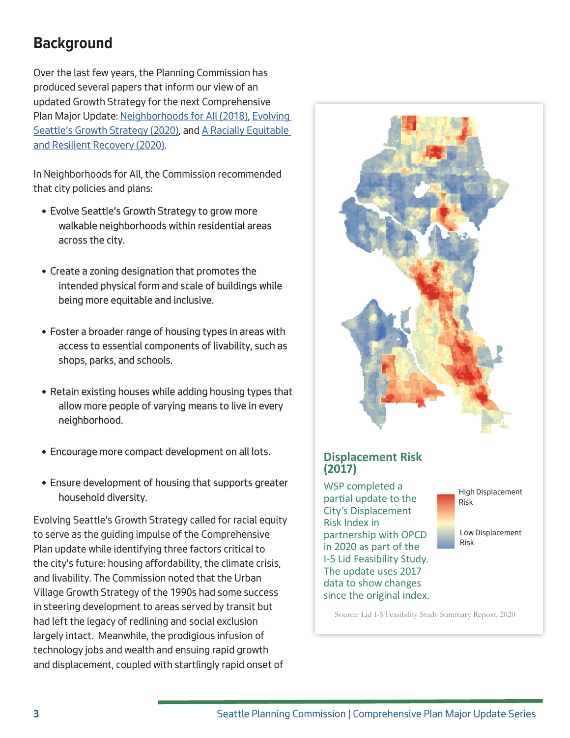## **Background**

Over the last few years, the Planning Commission has produced several papers that inform our view of an updated Growth Strategy for the next Comprehensive Plan Major Update: [Neighborhoods for All \(2018\)](http://www.seattle.gov/Documents/Departments/SeattlePlanningCommission/SPCNeighborhoodsForAllFINALdigital2.pdf), [Evolving](http://www.seattle.gov/Documents/Departments/SeattlePlanningCommission/SPCGSdigital01062020.pdf)  [Seattle's Growth Strategy \(2020\)](http://www.seattle.gov/Documents/Departments/SeattlePlanningCommission/SPCGSdigital01062020.pdf), and [A Racially Equitable](http://www.seattle.gov/Documents/Departments/SeattlePlanningCommission/RERRfinalSPC08032020.pdf)  [and Resilient Recovery \(2020\).](http://www.seattle.gov/Documents/Departments/SeattlePlanningCommission/RERRfinalSPC08032020.pdf)

In Neighborhoods for All, the Commission recommended that city policies and plans:

- Evolve Seattle's Growth Strategy to grow more walkable neighborhoods within residential areas across the city.
- Create a zoning designation that promotes the intended physical form and scale of buildings while being more equitable and inclusive.
- Foster a broader range of housing types in areas with access to essential components of livability, such as shops, parks, and schools.
- Retain existing houses while adding housing types that allow more people of varying means to live in every neighborhood.
- Encourage more compact development on all lots.
- Ensure development of housing that supports greater household diversity.

Evolving Seattle's Growth Strategy called for racial equity to serve as the guiding impulse of the Comprehensive Plan update while identifying three factors critical to the city's future: housing affordability, the climate crisis, and livability. The Commission noted that the Urban Village Growth Strategy of the 1990s had some success in steering development to areas served by transit but had left the legacy of redlining and social exclusion largely intact. Meanwhile, the prodigious infusion of technology jobs and wealth and ensuing rapid growth and displacement, coupled with startlingly rapid onset of



### **Displacement Risk (2017)**

WSP completed a partial update to the City's Displacement Risk Index in partnership with OPCD in 2020 as part of the I-5 Lid Feasibility Study. The update uses 2017 data to show changes since the original index.



Low Displacement Risk

Source: Lid I-5 Feasibility Study Summary Report, 2020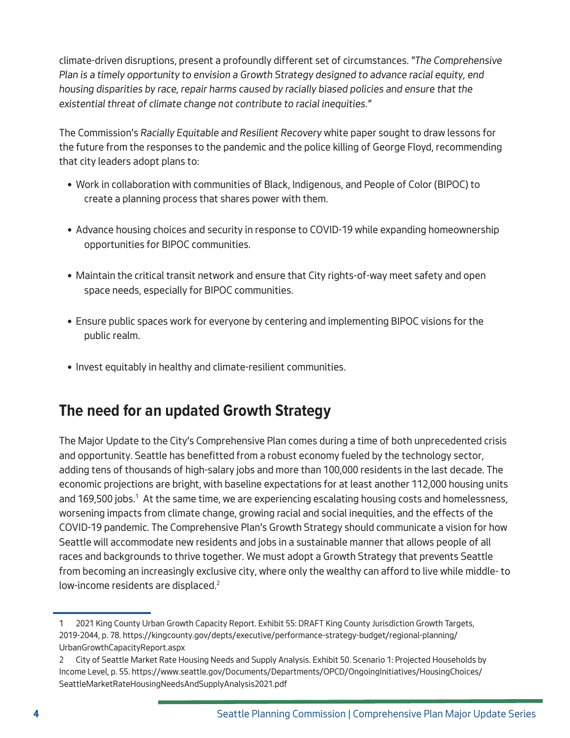climate-driven disruptions, present a profoundly different set of circumstances. *"The Comprehensive Plan is a timely opportunity to envision a Growth Strategy designed to advance racial equity, end housing disparities by race, repair harms caused by racially biased policies and ensure that the existential threat of climate change not contribute to racial inequities."*

The Commission's *Racially Equitable and Resilient Recovery* white paper sought to draw lessons for the future from the responses to the pandemic and the police killing of George Floyd, recommending that city leaders adopt plans to:

- Work in collaboration with communities of Black, Indigenous, and People of Color (BIPOC) to create a planning process that shares power with them.
- Advance housing choices and security in response to COVID-19 while expanding homeownership opportunities for BIPOC communities.
- Maintain the critical transit network and ensure that City rights-of-way meet safety and open space needs, especially for BIPOC communities.
- Ensure public spaces work for everyone by centering and implementing BIPOC visions for the public realm.
- Invest equitably in healthy and climate-resilient communities.

## **The need for an updated Growth Strategy**

The Major Update to the City's Comprehensive Plan comes during a time of both unprecedented crisis and opportunity. Seattle has benefitted from a robust economy fueled by the technology sector, adding tens of thousands of high-salary jobs and more than 100,000 residents in the last decade. The economic projections are bright, with baseline expectations for at least another 112,000 housing units and 169,500 jobs.<sup>1</sup> At the same time, we are experiencing escalating housing costs and homelessness, worsening impacts from climate change, growing racial and social inequities, and the effects of the COVID-19 pandemic. The Comprehensive Plan's Growth Strategy should communicate a vision for how Seattle will accommodate new residents and jobs in a sustainable manner that allows people of all races and backgrounds to thrive together. We must adopt a Growth Strategy that prevents Seattle from becoming an increasingly exclusive city, where only the wealthy can afford to live while middle- to low-income residents are displaced.<sup>2</sup>

<sup>1</sup> 2021 King County Urban Growth Capacity Report. Exhibit 55: DRAFT King County Jurisdiction Growth Targets, 2019-2044, p. 78. https://kingcounty.gov/depts/executive/performance-strategy-budget/regional-planning/ UrbanGrowthCapacityReport.aspx

<sup>2</sup> City of Seattle Market Rate Housing Needs and Supply Analysis. Exhibit 50. Scenario 1: Projected Households by Income Level, p. 55. https://www.seattle.gov/Documents/Departments/OPCD/OngoingInitiatives/HousingChoices/ SeattleMarketRateHousingNeedsAndSupplyAnalysis2021.pdf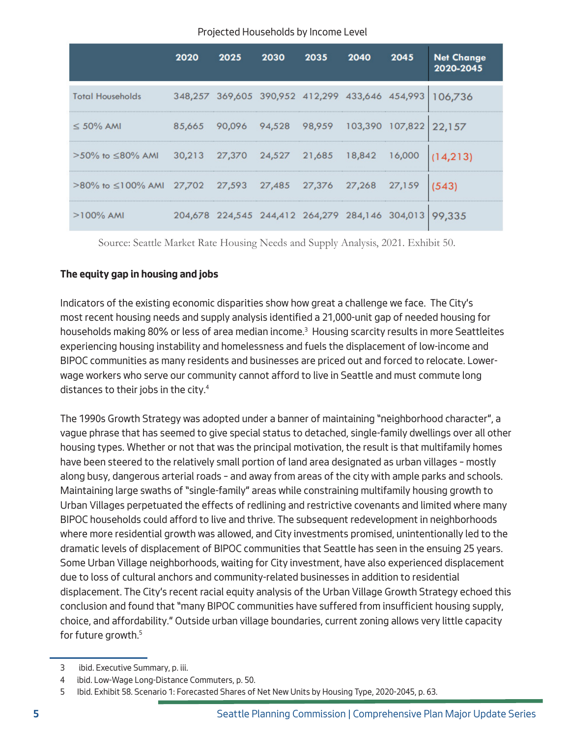|                                                                  | 2020 | 2025 | 2030 | 2035                                                   | 2040 | 2045   | <b>Net Change</b><br>2020-2045 |
|------------------------------------------------------------------|------|------|------|--------------------------------------------------------|------|--------|--------------------------------|
| <b>Total Households</b>                                          |      |      |      | 348,257 369,605 390,952 412,299 433,646 454,993        |      |        | 106.736                        |
| $\leq 50\%$ AMI                                                  |      |      |      | 85,665 90,096 94,528 98,959 103,390 107,822 22,157     |      |        |                                |
| >50% to ≤80% AMI 30,213 27,370 24,527 21,685 18,842              |      |      |      |                                                        |      | 16,000 |                                |
| >80% to ≤100% AMI 27,702 27,593 27,485 27,376 27,268 27,159 (543 |      |      |      |                                                        |      |        |                                |
| $>100\%$ AMI                                                     |      |      |      | 204,678 224,545 244,412 264,279 284,146 304,013 99,335 |      |        |                                |

Source: Seattle Market Rate Housing Needs and Supply Analysis, 2021. Exhibit 50.

#### **The equity gap in housing and jobs**

Indicators of the existing economic disparities show how great a challenge we face. The City's most recent housing needs and supply analysis identified a 21,000-unit gap of needed housing for households making 80% or less of area median income.<sup>3</sup> Housing scarcity results in more Seattleites experiencing housing instability and homelessness and fuels the displacement of low-income and BIPOC communities as many residents and businesses are priced out and forced to relocate. Lowerwage workers who serve our community cannot afford to live in Seattle and must commute long distances to their jobs in the city.<sup>4</sup>

The 1990s Growth Strategy was adopted under a banner of maintaining "neighborhood character", a vague phrase that has seemed to give special status to detached, single-family dwellings over all other housing types. Whether or not that was the principal motivation, the result is that multifamily homes have been steered to the relatively small portion of land area designated as urban villages – mostly along busy, dangerous arterial roads – and away from areas of the city with ample parks and schools. Maintaining large swaths of "single-family" areas while constraining multifamily housing growth to Urban Villages perpetuated the effects of redlining and restrictive covenants and limited where many BIPOC households could afford to live and thrive. The subsequent redevelopment in neighborhoods where more residential growth was allowed, and City investments promised, unintentionally led to the dramatic levels of displacement of BIPOC communities that Seattle has seen in the ensuing 25 years. Some Urban Village neighborhoods, waiting for City investment, have also experienced displacement due to loss of cultural anchors and community-related businesses in addition to residential displacement. The City's recent racial equity analysis of the Urban Village Growth Strategy echoed this conclusion and found that "many BIPOC communities have suffered from insufficient housing supply, choice, and affordability." Outside urban village boundaries, current zoning allows very little capacity for future growth.<sup>5</sup>

<sup>3</sup> ibid. Executive Summary, p. iii.

<sup>4</sup> ibid. Low-Wage Long-Distance Commuters, p. 50.

<sup>5</sup> Ibid. Exhibit 58. Scenario 1: Forecasted Shares of Net New Units by Housing Type, 2020-2045, p. 63.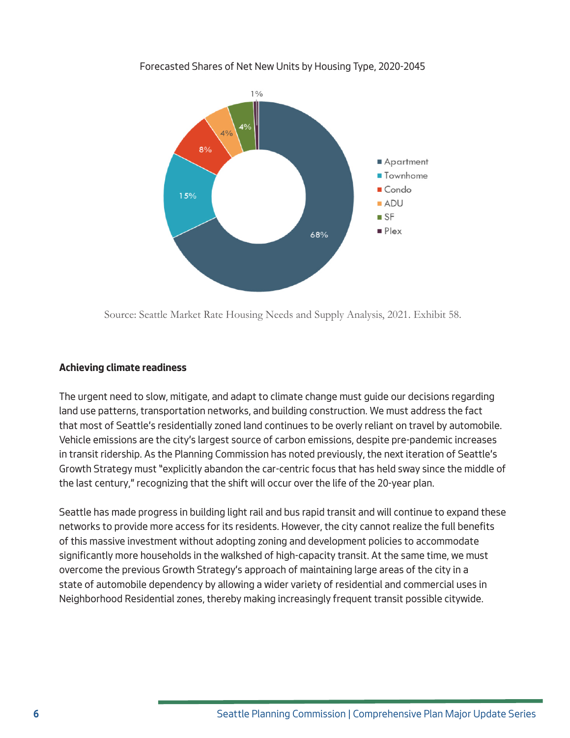

#### Forecasted Shares of Net New Units by Housing Type, 2020-2045

Source: Seattle Market Rate Housing Needs and Supply Analysis, 2021. Exhibit 58.

#### **Achieving climate readiness**

The urgent need to slow, mitigate, and adapt to climate change must guide our decisions regarding land use patterns, transportation networks, and building construction. We must address the fact that most of Seattle's residentially zoned land continues to be overly reliant on travel by automobile. Vehicle emissions are the city's largest source of carbon emissions, despite pre-pandemic increases in transit ridership. As the Planning Commission has noted previously, the next iteration of Seattle's Growth Strategy must "explicitly abandon the car-centric focus that has held sway since the middle of the last century," recognizing that the shift will occur over the life of the 20-year plan.

Seattle has made progress in building light rail and bus rapid transit and will continue to expand these networks to provide more access for its residents. However, the city cannot realize the full benefits of this massive investment without adopting zoning and development policies to accommodate significantly more households in the walkshed of high-capacity transit. At the same time, we must overcome the previous Growth Strategy's approach of maintaining large areas of the city in a state of automobile dependency by allowing a wider variety of residential and commercial uses in Neighborhood Residential zones, thereby making increasingly frequent transit possible citywide.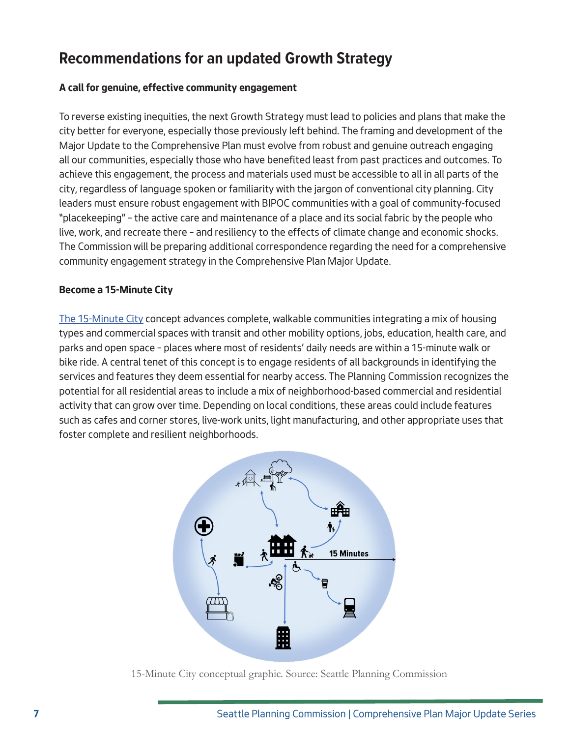## **Recommendations for an updated Growth Strategy**

#### **A call for genuine, effective community engagement**

To reverse existing inequities, the next Growth Strategy must lead to policies and plans that make the city better for everyone, especially those previously left behind. The framing and development of the Major Update to the Comprehensive Plan must evolve from robust and genuine outreach engaging all our communities, especially those who have benefited least from past practices and outcomes. To achieve this engagement, the process and materials used must be accessible to all in all parts of the city, regardless of language spoken or familiarity with the jargon of conventional city planning. City leaders must ensure robust engagement with BIPOC communities with a goal of community-focused "placekeeping" – the active care and maintenance of a place and its social fabric by the people who live, work, and recreate there – and resiliency to the effects of climate change and economic shocks. The Commission will be preparing additional correspondence regarding the need for a comprehensive community engagement strategy in the Comprehensive Plan Major Update.

#### **Become a 15-Minute City**

[The 15-Minute City](https://www.c40knowledgehub.org/s/article/15-minute-cities-How-to-create-complete-neighbourhoods?language=en_US) concept advances complete, walkable communities integrating a mix of housing types and commercial spaces with transit and other mobility options, jobs, education, health care, and parks and open space – places where most of residents' daily needs are within a 15-minute walk or bike ride. A central tenet of this concept is to engage residents of all backgrounds in identifying the services and features they deem essential for nearby access. The Planning Commission recognizes the potential for all residential areas to include a mix of neighborhood-based commercial and residential activity that can grow over time. Depending on local conditions, these areas could include features such as cafes and corner stores, live-work units, light manufacturing, and other appropriate uses that foster complete and resilient neighborhoods.



15-Minute City conceptual graphic. Source: Seattle Planning Commission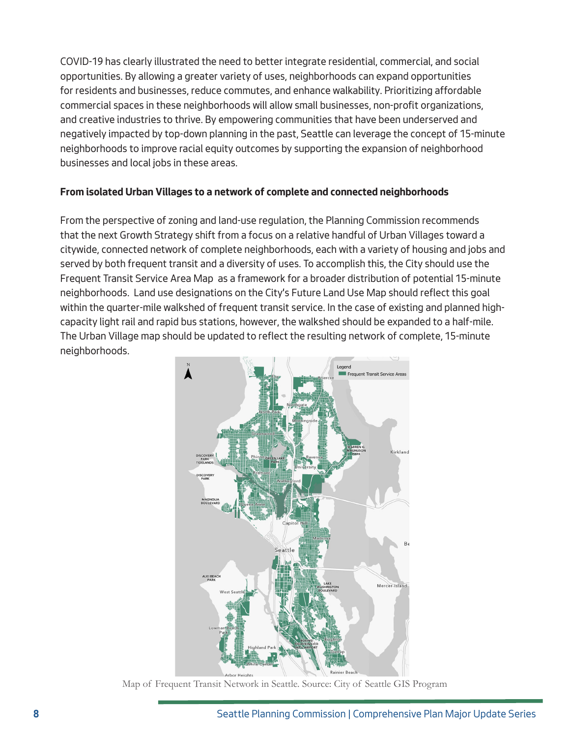COVID-19 has clearly illustrated the need to better integrate residential, commercial, and social opportunities. By allowing a greater variety of uses, neighborhoods can expand opportunities for residents and businesses, reduce commutes, and enhance walkability. Prioritizing affordable commercial spaces in these neighborhoods will allow small businesses, non-profit organizations, and creative industries to thrive. By empowering communities that have been underserved and negatively impacted by top-down planning in the past, Seattle can leverage the concept of 15-minute neighborhoods to improve racial equity outcomes by supporting the expansion of neighborhood businesses and local jobs in these areas.

#### **From isolated Urban Villages to a network of complete and connected neighborhoods**

From the perspective of zoning and land-use regulation, the Planning Commission recommends that the next Growth Strategy shift from a focus on a relative handful of Urban Villages toward a citywide, connected network of complete neighborhoods, each with a variety of housing and jobs and served by both frequent transit and a diversity of uses. To accomplish this, the City should use the Frequent Transit Service Area Map as a framework for a broader distribution of potential 15-minute neighborhoods. Land use designations on the City's Future Land Use Map should reflect this goal within the quarter-mile walkshed of frequent transit service. In the case of existing and planned highcapacity light rail and rapid bus stations, however, the walkshed should be expanded to a half-mile. The Urban Village map should be updated to reflect the resulting network of complete, 15-minute neighborhoods.



Map of Frequent Transit Network in Seattle. Source: City of Seattle GIS Program